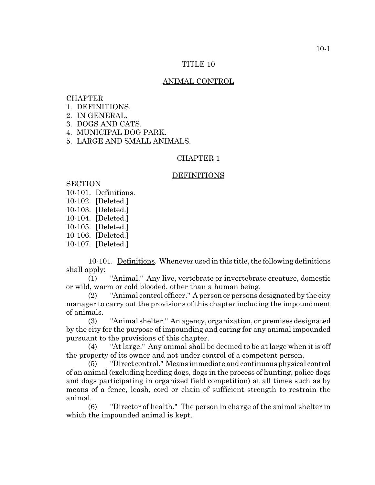#### TITLE 10

# ANIMAL CONTROL

### CHAPTER

- 1. DEFINITIONS.
- 2. IN GENERAL.
- 3. DOGS AND CATS.
- 4. MUNICIPAL DOG PARK.
- 5. LARGE AND SMALL ANIMALS.

### CHAPTER 1

#### DEFINITIONS

# **SECTION**

- 10-101. Definitions.
- 10-102. [Deleted.]
- 10-103. [Deleted.]
- 10-104. [Deleted.]
- 10-105. [Deleted.]
- 10-106. [Deleted.]
- 10-107. [Deleted.]

10-101. Definitions. Whenever used in this title, the following definitions shall apply:

(1) "Animal." Any live, vertebrate or invertebrate creature, domestic or wild, warm or cold blooded, other than a human being.

(2) "Animal control officer." A person or persons designated by the city manager to carry out the provisions of this chapter including the impoundment of animals.

(3) "Animal shelter." An agency, organization, or premises designated by the city for the purpose of impounding and caring for any animal impounded pursuant to the provisions of this chapter.

(4) "At large." Any animal shall be deemed to be at large when it is off the property of its owner and not under control of a competent person.

(5) "Direct control." Means immediate and continuous physical control of an animal (excluding herding dogs, dogs in the process of hunting, police dogs and dogs participating in organized field competition) at all times such as by means of a fence, leash, cord or chain of sufficient strength to restrain the animal.

(6) "Director of health." The person in charge of the animal shelter in which the impounded animal is kept.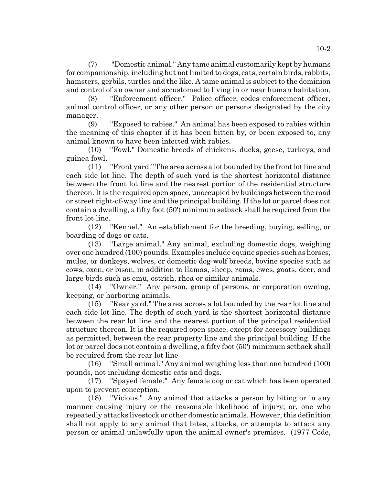(7) "Domestic animal." Any tame animal customarily kept by humans for companionship, including but not limited to dogs, cats, certain birds, rabbits, hamsters, gerbils, turtles and the like. A tame animal is subject to the dominion and control of an owner and accustomed to living in or near human habitation.

"Enforcement officer." Police officer, codes enforcement officer, animal control officer, or any other person or persons designated by the city manager.

(9) "Exposed to rabies." An animal has been exposed to rabies within the meaning of this chapter if it has been bitten by, or been exposed to, any animal known to have been infected with rabies.

(10) "Fowl." Domestic breeds of chickens, ducks, geese, turkeys, and guinea fowl.

(11) "Front yard." The area across a lot bounded by the front lot line and each side lot line. The depth of such yard is the shortest horizontal distance between the front lot line and the nearest portion of the residential structure thereon. It is the required open space, unoccupied by buildings between the road or street right-of-way line and the principal building. If the lot or parcel does not contain a dwelling, a fifty foot (50') minimum setback shall be required from the front lot line.

(12) "Kennel." An establishment for the breeding, buying, selling, or boarding of dogs or cats.

(13) "Large animal." Any animal, excluding domestic dogs, weighing over one hundred (100) pounds. Examples include equine species such as horses, mules, or donkeys, wolves, or domestic dog-wolf breeds, bovine species such as cows, oxen, or bison, in addition to llamas, sheep, rams, ewes, goats, deer, and large birds such as emu, ostrich, rhea or similar animals.

(14) "Owner." Any person, group of persons, or corporation owning, keeping, or harboring animals.

(15) "Rear yard." The area across a lot bounded by the rear lot line and each side lot line. The depth of such yard is the shortest horizontal distance between the rear lot line and the nearest portion of the principal residential structure thereon. It is the required open space, except for accessory buildings as permitted, between the rear property line and the principal building. If the lot or parcel does not contain a dwelling, a fifty foot (50') minimum setback shall be required from the rear lot line

(16) "Small animal." Any animal weighing less than one hundred (100) pounds, not including domestic cats and dogs.

(17) "Spayed female." Any female dog or cat which has been operated upon to prevent conception.

(18) "Vicious." Any animal that attacks a person by biting or in any manner causing injury or the reasonable likelihood of injury; or, one who repeatedly attacks livestock or other domestic animals. However, this definition shall not apply to any animal that bites, attacks, or attempts to attack any person or animal unlawfully upon the animal owner's premises. (1977 Code,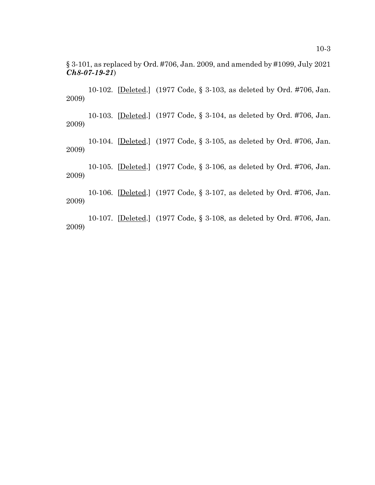§ 3-101, as replaced by Ord. #706, Jan. 2009, and amended by #1099, July 2021 *Ch8-07-19-21*)

 10-102. [Deleted.] (1977 Code, § 3-103, as deleted by Ord. #706, Jan. 2009)

10-103. [Deleted.] (1977 Code, § 3-104, as deleted by Ord. #706, Jan. 2009)

10-104. [Deleted.] (1977 Code, § 3-105, as deleted by Ord. #706, Jan. 2009)

10-105. [Deleted.] (1977 Code, § 3-106, as deleted by Ord. #706, Jan. 2009)

10-106. [Deleted.] (1977 Code, § 3-107, as deleted by Ord. #706, Jan. 2009)

10-107. [Deleted.] (1977 Code, § 3-108, as deleted by Ord. #706, Jan. 2009)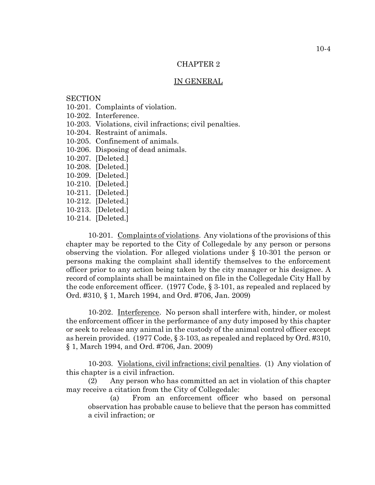#### IN GENERAL

### **SECTION**

- 10-201. Complaints of violation.
- 10-202. Interference.
- 10-203. Violations, civil infractions; civil penalties.
- 10-204. Restraint of animals.
- 10-205. Confinement of animals.
- 10-206. Disposing of dead animals.
- 10-207. [Deleted.]
- 10-208. [Deleted.]
- 10-209. [Deleted.]
- 10-210. [Deleted.]
- 10-211. [Deleted.]
- 10-212. [Deleted.]
- 10-213. [Deleted.]
- 10-214. [Deleted.]

10-201. Complaints of violations. Any violations of the provisions of this chapter may be reported to the City of Collegedale by any person or persons observing the violation. For alleged violations under § 10-301 the person or persons making the complaint shall identify themselves to the enforcement officer prior to any action being taken by the city manager or his designee. A record of complaints shall be maintained on file in the Collegedale City Hall by the code enforcement officer. (1977 Code, § 3-101, as repealed and replaced by Ord. #310, § 1, March 1994, and Ord. #706, Jan. 2009)

10-202. Interference. No person shall interfere with, hinder, or molest the enforcement officer in the performance of any duty imposed by this chapter or seek to release any animal in the custody of the animal control officer except as herein provided. (1977 Code, § 3-103, as repealed and replaced by Ord. #310, § 1, March 1994, and Ord. #706, Jan. 2009)

10-203. Violations, civil infractions; civil penalties. (1) Any violation of this chapter is a civil infraction.

(2) Any person who has committed an act in violation of this chapter may receive a citation from the City of Collegedale:

(a) From an enforcement officer who based on personal observation has probable cause to believe that the person has committed a civil infraction; or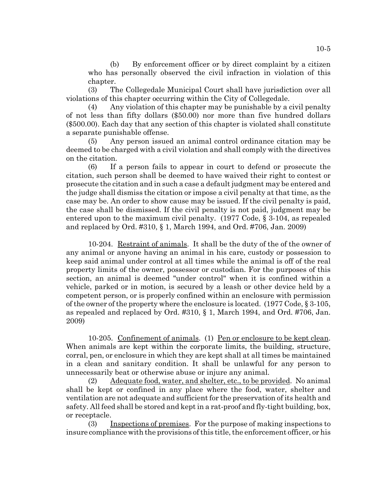(b) By enforcement officer or by direct complaint by a citizen who has personally observed the civil infraction in violation of this chapter.

(3) The Collegedale Municipal Court shall have jurisdiction over all violations of this chapter occurring within the City of Collegedale.

(4) Any violation of this chapter may be punishable by a civil penalty of not less than fifty dollars (\$50.00) nor more than five hundred dollars (\$500.00). Each day that any section of this chapter is violated shall constitute a separate punishable offense.

(5) Any person issued an animal control ordinance citation may be deemed to be charged with a civil violation and shall comply with the directives on the citation.

(6) If a person fails to appear in court to defend or prosecute the citation, such person shall be deemed to have waived their right to contest or prosecute the citation and in such a case a default judgment may be entered and the judge shall dismiss the citation or impose a civil penalty at that time, as the case may be. An order to show cause may be issued. If the civil penalty is paid, the case shall be dismissed. If the civil penalty is not paid, judgment may be entered upon to the maximum civil penalty. (1977 Code, § 3-104, as repealed and replaced by Ord. #310, § 1, March 1994, and Ord. #706, Jan. 2009)

10-204. Restraint of animals. It shall be the duty of the of the owner of any animal or anyone having an animal in his care, custody or possession to keep said animal under control at all times while the animal is off of the real property limits of the owner, possessor or custodian. For the purposes of this section, an animal is deemed "under control" when it is confined within a vehicle, parked or in motion, is secured by a leash or other device held by a competent person, or is properly confined within an enclosure with permission of the owner of the property where the enclosure is located.  $(1977 \text{ Code}, \S 3-105,$ as repealed and replaced by Ord. #310, § 1, March 1994, and Ord. #706, Jan. 2009)

10-205. Confinement of animals. (1) Pen or enclosure to be kept clean. When animals are kept within the corporate limits, the building, structure, corral, pen, or enclosure in which they are kept shall at all times be maintained in a clean and sanitary condition. It shall be unlawful for any person to unnecessarily beat or otherwise abuse or injure any animal.

(2) Adequate food, water, and shelter, etc., to be provided. No animal shall be kept or confined in any place where the food, water, shelter and ventilation are not adequate and sufficient for the preservation of its health and safety. All feed shall be stored and kept in a rat-proof and fly-tight building, box, or receptacle.

(3) Inspections of premises. For the purpose of making inspections to insure compliance with the provisions of this title, the enforcement officer, or his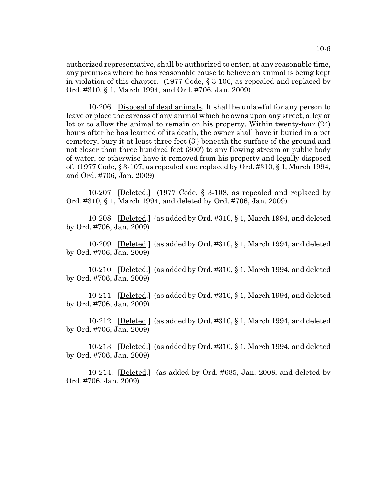authorized representative, shall be authorized to enter, at any reasonable time, any premises where he has reasonable cause to believe an animal is being kept in violation of this chapter. (1977 Code, § 3-106, as repealed and replaced by Ord. #310, § 1, March 1994, and Ord. #706, Jan. 2009)

10-206. Disposal of dead animals. It shall be unlawful for any person to leave or place the carcass of any animal which he owns upon any street, alley or lot or to allow the animal to remain on his property. Within twenty-four (24) hours after he has learned of its death, the owner shall have it buried in a pet cemetery, bury it at least three feet (3') beneath the surface of the ground and not closer than three hundred feet (300') to any flowing stream or public body of water, or otherwise have it removed from his property and legally disposed of. (1977 Code, § 3-107, as repealed and replaced by Ord. #310, § 1, March 1994, and Ord. #706, Jan. 2009)

10-207. [Deleted.] (1977 Code, § 3-108, as repealed and replaced by Ord. #310, § 1, March 1994, and deleted by Ord. #706, Jan. 2009)

10-208. [Deleted.] (as added by Ord.  $\#310, \S 1$ , March 1994, and deleted by Ord. #706, Jan. 2009)

10-209. [Deleted.] (as added by Ord. #310, § 1, March 1994, and deleted by Ord. #706, Jan. 2009)

10-210. [Deleted.] (as added by Ord. #310, § 1, March 1994, and deleted by Ord. #706, Jan. 2009)

10-211. [Deleted.] (as added by Ord. #310, § 1, March 1994, and deleted by Ord. #706, Jan. 2009)

10-212. [Deleted.] (as added by Ord. #310, § 1, March 1994, and deleted by Ord. #706, Jan. 2009)

10-213. [Deleted.] (as added by Ord.  $\#310, \S 1$ , March 1994, and deleted by Ord. #706, Jan. 2009)

10-214. [Deleted.] (as added by Ord. #685, Jan. 2008, and deleted by Ord. #706, Jan. 2009)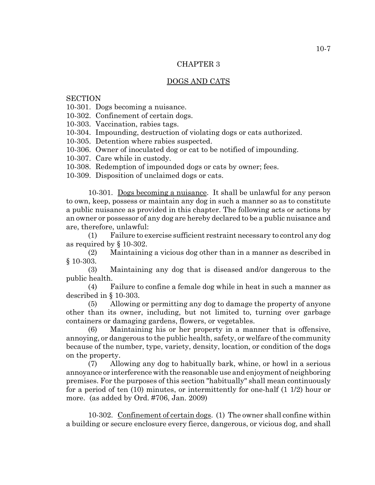### DOGS AND CATS

**SECTION** 

10-301. Dogs becoming a nuisance.

10-302. Confinement of certain dogs.

10-303. Vaccination, rabies tags.

10-304. Impounding, destruction of violating dogs or cats authorized.

10-305. Detention where rabies suspected.

10-306. Owner of inoculated dog or cat to be notified of impounding.

10-307. Care while in custody.

10-308. Redemption of impounded dogs or cats by owner; fees.

10-309. Disposition of unclaimed dogs or cats.

10-301. Dogs becoming a nuisance. It shall be unlawful for any person to own, keep, possess or maintain any dog in such a manner so as to constitute a public nuisance as provided in this chapter. The following acts or actions by an owner or possessor of any dog are hereby declared to be a public nuisance and are, therefore, unlawful:

(1) Failure to exercise sufficient restraint necessary to control any dog as required by § 10-302.

(2) Maintaining a vicious dog other than in a manner as described in § 10-303.

(3) Maintaining any dog that is diseased and/or dangerous to the public health.

(4) Failure to confine a female dog while in heat in such a manner as described in § 10-303.

(5) Allowing or permitting any dog to damage the property of anyone other than its owner, including, but not limited to, turning over garbage containers or damaging gardens, flowers, or vegetables.

(6) Maintaining his or her property in a manner that is offensive, annoying, or dangerous to the public health, safety, or welfare of the community because of the number, type, variety, density, location, or condition of the dogs on the property.

(7) Allowing any dog to habitually bark, whine, or howl in a serious annoyance or interference with the reasonable use and enjoyment of neighboring premises. For the purposes of this section "habitually" shall mean continuously for a period of ten (10) minutes, or intermittently for one-half (1 1/2) hour or more. (as added by Ord. #706, Jan. 2009)

10-302. Confinement of certain dogs. (1) The owner shall confine within a building or secure enclosure every fierce, dangerous, or vicious dog, and shall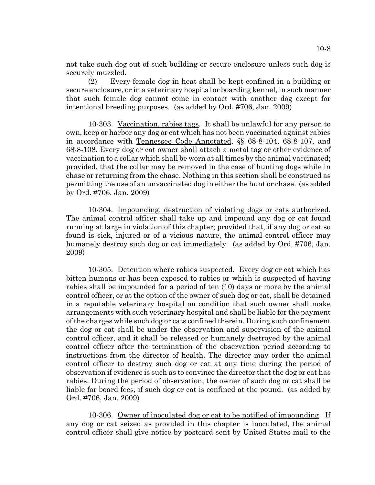not take such dog out of such building or secure enclosure unless such dog is securely muzzled.

(2) Every female dog in heat shall be kept confined in a building or secure enclosure, or in a veterinary hospital or boarding kennel, in such manner that such female dog cannot come in contact with another dog except for intentional breeding purposes. (as added by Ord. #706, Jan. 2009)

10-303. Vaccination, rabies tags. It shall be unlawful for any person to own, keep or harbor any dog or cat which has not been vaccinated against rabies in accordance with Tennessee Code Annotated, §§ 68-8-104, 68-8-107, and 68-8-108. Every dog or cat owner shall attach a metal tag or other evidence of vaccination to a collar which shall be worn at all times by the animal vaccinated; provided, that the collar may be removed in the case of hunting dogs while in chase or returning from the chase. Nothing in this section shall be construed as permitting the use of an unvaccinated dog in either the hunt or chase. (as added by Ord. #706, Jan. 2009)

10-304. Impounding, destruction of violating dogs or cats authorized. The animal control officer shall take up and impound any dog or cat found running at large in violation of this chapter; provided that, if any dog or cat so found is sick, injured or of a vicious nature, the animal control officer may humanely destroy such dog or cat immediately. (as added by Ord. #706, Jan. 2009)

10-305. Detention where rabies suspected. Every dog or cat which has bitten humans or has been exposed to rabies or which is suspected of having rabies shall be impounded for a period of ten (10) days or more by the animal control officer, or at the option of the owner of such dog or cat, shall be detained in a reputable veterinary hospital on condition that such owner shall make arrangements with such veterinary hospital and shall be liable for the payment of the charges while such dog or cats confined therein. During such confinement the dog or cat shall be under the observation and supervision of the animal control officer, and it shall be released or humanely destroyed by the animal control officer after the termination of the observation period according to instructions from the director of health. The director may order the animal control officer to destroy such dog or cat at any time during the period of observation if evidence is such as to convince the director that the dog or cat has rabies. During the period of observation, the owner of such dog or cat shall be liable for board fees, if such dog or cat is confined at the pound. (as added by Ord. #706, Jan. 2009)

10-306. Owner of inoculated dog or cat to be notified of impounding. If any dog or cat seized as provided in this chapter is inoculated, the animal control officer shall give notice by postcard sent by United States mail to the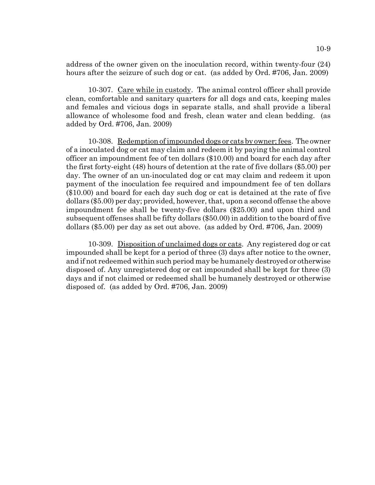address of the owner given on the inoculation record, within twenty-four (24) hours after the seizure of such dog or cat. (as added by Ord. #706, Jan. 2009)

10-307. Care while in custody. The animal control officer shall provide clean, comfortable and sanitary quarters for all dogs and cats, keeping males and females and vicious dogs in separate stalls, and shall provide a liberal allowance of wholesome food and fresh, clean water and clean bedding. (as added by Ord. #706, Jan. 2009)

10-308. Redemption of impounded dogs or cats by owner; fees. The owner of a inoculated dog or cat may claim and redeem it by paying the animal control officer an impoundment fee of ten dollars (\$10.00) and board for each day after the first forty-eight (48) hours of detention at the rate of five dollars (\$5.00) per day. The owner of an un-inoculated dog or cat may claim and redeem it upon payment of the inoculation fee required and impoundment fee of ten dollars (\$10.00) and board for each day such dog or cat is detained at the rate of five dollars (\$5.00) per day; provided, however, that, upon a second offense the above impoundment fee shall be twenty-five dollars (\$25.00) and upon third and subsequent offenses shall be fifty dollars (\$50.00) in addition to the board of five dollars (\$5.00) per day as set out above. (as added by Ord. #706, Jan. 2009)

10-309. Disposition of unclaimed dogs or cats. Any registered dog or cat impounded shall be kept for a period of three (3) days after notice to the owner, and if not redeemed within such period may be humanely destroyed or otherwise disposed of. Any unregistered dog or cat impounded shall be kept for three (3) days and if not claimed or redeemed shall be humanely destroyed or otherwise disposed of. (as added by Ord. #706, Jan. 2009)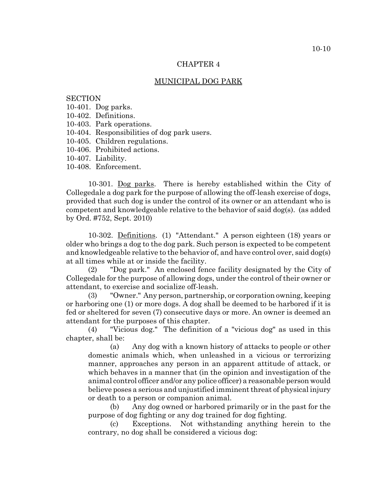# MUNICIPAL DOG PARK

#### **SECTION**

- 10-401. Dog parks.
- 10-402. Definitions.
- 10-403. Park operations.
- 10-404. Responsibilities of dog park users.
- 10-405. Children regulations.
- 10-406. Prohibited actions.
- 10-407. Liability.
- 10-408. Enforcement.

10-301. Dog parks. There is hereby established within the City of Collegedale a dog park for the purpose of allowing the off-leash exercise of dogs, provided that such dog is under the control of its owner or an attendant who is competent and knowledgeable relative to the behavior of said dog(s). (as added by Ord. #752, Sept. 2010)

10-302. Definitions. (1) "Attendant." A person eighteen (18) years or older who brings a dog to the dog park. Such person is expected to be competent and knowledgeable relative to the behavior of, and have control over, said dog(s) at all times while at or inside the facility.

(2) "Dog park." An enclosed fence facility designated by the City of Collegedale for the purpose of allowing dogs, under the control of their owner or attendant, to exercise and socialize off-leash.

(3) "Owner." Any person, partnership, or corporation owning, keeping or harboring one (1) or more dogs. A dog shall be deemed to be harbored if it is fed or sheltered for seven (7) consecutive days or more. An owner is deemed an attendant for the purposes of this chapter.

(4) "Vicious dog." The definition of a "vicious dog" as used in this chapter, shall be:

(a) Any dog with a known history of attacks to people or other domestic animals which, when unleashed in a vicious or terrorizing manner, approaches any person in an apparent attitude of attack, or which behaves in a manner that (in the opinion and investigation of the animal control officer and/or any police officer) a reasonable person would believe poses a serious and unjustified imminent threat of physical injury or death to a person or companion animal.

(b) Any dog owned or harbored primarily or in the past for the purpose of dog fighting or any dog trained for dog fighting.

(c) Exceptions. Not withstanding anything herein to the contrary, no dog shall be considered a vicious dog: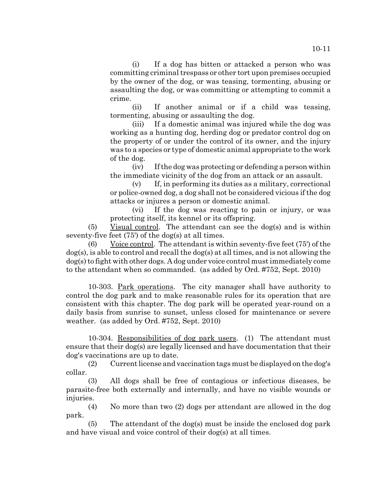10-11

(i) If a dog has bitten or attacked a person who was committing criminal trespass or other tort upon premises occupied by the owner of the dog, or was teasing, tormenting, abusing or assaulting the dog, or was committing or attempting to commit a crime.

(ii) If another animal or if a child was teasing, tormenting, abusing or assaulting the dog.

(iii) If a domestic animal was injured while the dog was working as a hunting dog, herding dog or predator control dog on the property of or under the control of its owner, and the injury was to a species or type of domestic animal appropriate to the work of the dog.

(iv) If the dog was protecting or defending a person within the immediate vicinity of the dog from an attack or an assault.

(v) If, in performing its duties as a military, correctional or police-owned dog, a dog shall not be considered vicious if the dog attacks or injures a person or domestic animal.

(vi) If the dog was reacting to pain or injury, or was protecting itself, its kennel or its offspring.

(5) Visual control. The attendant can see the dog(s) and is within seventy-five feet (75') of the dog(s) at all times.

(6) Voice control. The attendant is within seventy-five feet (75') of the dog(s), is able to control and recall the dog(s) at all times, and is not allowing the dog(s) to fight with other dogs. A dog under voice control must immediately come to the attendant when so commanded. (as added by Ord. #752, Sept. 2010)

10-303. Park operations. The city manager shall have authority to control the dog park and to make reasonable rules for its operation that are consistent with this chapter. The dog park will be operated year-round on a daily basis from sunrise to sunset, unless closed for maintenance or severe weather. (as added by Ord. #752, Sept. 2010)

10-304. Responsibilities of dog park users. (1) The attendant must ensure that their dog(s) are legally licensed and have documentation that their dog's vaccinations are up to date.

(2) Current license and vaccination tags must be displayed on the dog's collar.

(3) All dogs shall be free of contagious or infectious diseases, be parasite-free both externally and internally, and have no visible wounds or injuries.

(4) No more than two (2) dogs per attendant are allowed in the dog park.

(5) The attendant of the dog(s) must be inside the enclosed dog park and have visual and voice control of their dog(s) at all times.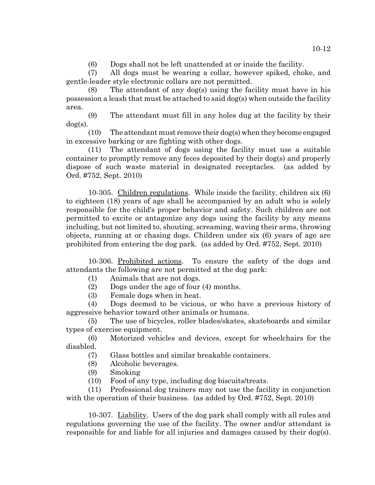(6) Dogs shall not be left unattended at or inside the facility.

(7) All dogs must be wearing a collar, however spiked, choke, and gentle-leader style electronic collars are not permitted.

(8) The attendant of any dog(s) using the facility must have in his possession a leash that must be attached to said dog(s) when outside the facility area.

(9) The attendant must fill in any holes dug at the facility by their dog(s).

(10) The attendant must remove their dog(s) when they become engaged in excessive barking or are fighting with other dogs.

(11) The attendant of dogs using the facility must use a suitable container to promptly remove any feces deposited by their dog(s) and properly dispose of such waste material in designated receptacles. (as added by Ord. #752, Sept. 2010)

10-305. Children regulations. While inside the facility, children six (6) to eighteen (18) years of age shall be accompanied by an adult who is solely responsible for the child's proper behavior and safety. Such children are not permitted to excite or antagonize any dogs using the facility by any means including, but not limited to, shouting, screaming, waving their arms, throwing objects, running at or chasing dogs. Children under six (6) years of age are prohibited from entering the dog park. (as added by Ord. #752, Sept. 2010)

10-306. Prohibited actions. To ensure the safety of the dogs and attendants the following are not permitted at the dog park:

(1) Animals that are not dogs.

(2) Dogs under the age of four (4) months.

(3) Female dogs when in heat.

(4) Dogs deemed to be vicious, or who have a previous history of aggressive behavior toward other animals or humans.

(5) The use of bicycles, roller blades/skates, skateboards and similar types of exercise equipment.

(6) Motorized vehicles and devices, except for wheelchairs for the disabled.

(7) Glass bottles and similar breakable containers.

- (8) Alcoholic beverages.
- (9) Smoking

(10) Food of any type, including dog biscuits/treats.

(11) Professional dog trainers may not use the facility in conjunction with the operation of their business. (as added by Ord. #752, Sept. 2010)

10-307. Liability. Users of the dog park shall comply with all rules and regulations governing the use of the facility. The owner and/or attendant is responsible for and liable for all injuries and damages caused by their  $\log(s)$ .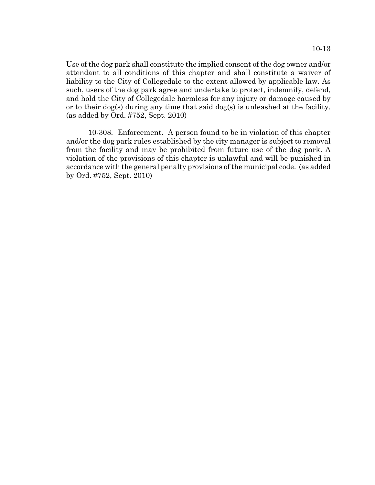Use of the dog park shall constitute the implied consent of the dog owner and/or attendant to all conditions of this chapter and shall constitute a waiver of liability to the City of Collegedale to the extent allowed by applicable law. As such, users of the dog park agree and undertake to protect, indemnify, defend, and hold the City of Collegedale harmless for any injury or damage caused by or to their dog(s) during any time that said dog(s) is unleashed at the facility. (as added by Ord. #752, Sept. 2010)

10-308. Enforcement. A person found to be in violation of this chapter and/or the dog park rules established by the city manager is subject to removal from the facility and may be prohibited from future use of the dog park. A violation of the provisions of this chapter is unlawful and will be punished in accordance with the general penalty provisions of the municipal code. (as added by Ord. #752, Sept. 2010)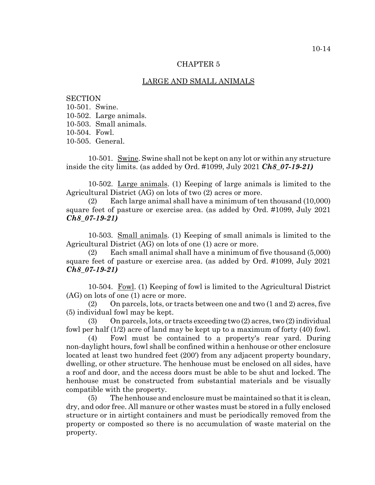### LARGE AND SMALL ANIMALS

**SECTION** 10-501. Swine. 10-502. Large animals. 10-503. Small animals. 10-504. Fowl. 10-505. General.

10-501. Swine. Swine shall not be kept on any lot or within any structure inside the city limits. (as added by Ord. #1099, July 2021 *Ch8\_07-19-21)*

10-502. Large animals. (1) Keeping of large animals is limited to the Agricultural District (AG) on lots of two (2) acres or more.

(2) Each large animal shall have a minimum of ten thousand (10,000) square feet of pasture or exercise area. (as added by Ord. #1099, July 2021 *Ch8\_07-19-21)*

10-503. Small animals. (1) Keeping of small animals is limited to the Agricultural District (AG) on lots of one (1) acre or more.

(2) Each small animal shall have a minimum of five thousand (5,000) square feet of pasture or exercise area. (as added by Ord. #1099, July 2021 *Ch8\_07-19-21)*

10-504. Fowl. (1) Keeping of fowl is limited to the Agricultural District (AG) on lots of one (1) acre or more.

(2) On parcels, lots, or tracts between one and two (1 and 2) acres, five (5) individual fowl may be kept.

(3) On parcels, lots, or tracts exceeding two (2) acres, two (2) individual fowl per half (1/2) acre of land may be kept up to a maximum of forty (40) fowl.

(4) Fowl must be contained to a property's rear yard. During non-daylight hours, fowl shall be confined within a henhouse or other enclosure located at least two hundred feet (200') from any adjacent property boundary, dwelling, or other structure. The henhouse must be enclosed on all sides, have a roof and door, and the access doors must be able to be shut and locked. The henhouse must be constructed from substantial materials and be visually compatible with the property.

(5) The henhouse and enclosure must be maintained so that it is clean, dry, and odor free. All manure or other wastes must be stored in a fully enclosed structure or in airtight containers and must be periodically removed from the property or composted so there is no accumulation of waste material on the property.